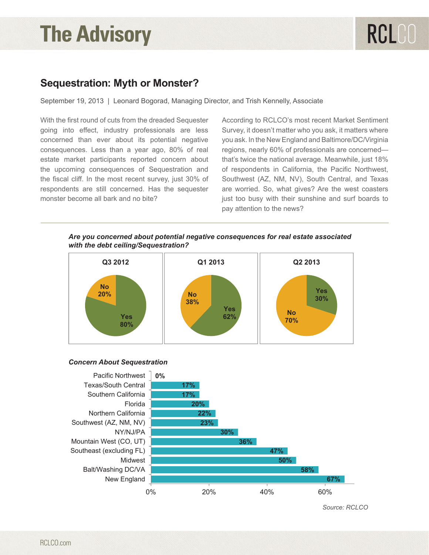# **The Advisory**

### **Sequestration: Myth or Monster?**

September 19, 2013 | Leonard Bogorad, Managing Director, and Trish Kennelly, Associate

With the first round of cuts from the dreaded Sequester going into effect, industry professionals are less concerned than ever about its potential negative consequences. Less than a year ago, 80% of real estate market participants reported concern about the upcoming consequences of Sequestration and the fiscal cliff. In the most recent survey, just 30% of respondents are still concerned. Has the sequester monster become all bark and no bite?

According to RCLCO's most recent Market Sentiment Survey, it doesn't matter who you ask, it matters where you ask. In the New England and Baltimore/DC/Virginia regions, nearly 60% of professionals are concerned that's twice the national average. Meanwhile, just 18% of respondents in California, the Pacific Northwest, Southwest (AZ, NM, NV), South Central, and Texas are worried. So, what gives? Are the west coasters just too busy with their sunshine and surf boards to pay attention to the news?

### *Are you concerned about potential negative consequences for real estate Are you concerned about potential negative consequences for real estate associated associated with the debt ceiling/Sequestration? with the debt ceiling/Sequestration?*



#### *Concern About Sequestration Concern About Sequestration*



*Source: RCLCO Source: RCLCO*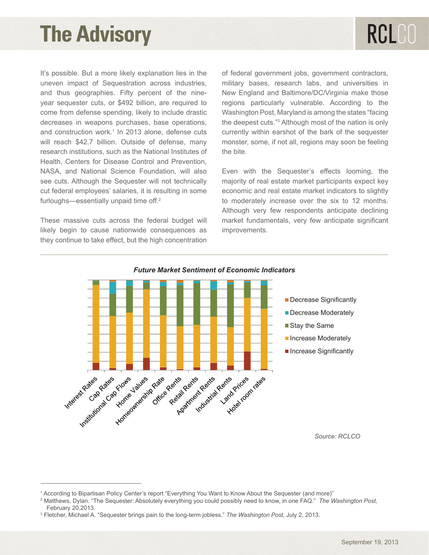## **The Advisory**

It's possible. But a more likely explanation lies in the uneven impact of Sequestration across industries, and thus geographies. Fifty percent of the nineyear sequester cuts, or \$492 billion, are required to come from defense spending, likely to include drastic decreases in weapons purchases, base operations, and construction work.<sup>1</sup> In 2013 alone, defense cuts will reach \$42.7 billion. Outside of defense, many research institutions, such as the National Institutes of Health, Centers for Disease Control and Prevention, NASA, and National Science Foundation, will also see cuts. Although the Sequester will not technically cut federal employees' salaries, it is resulting in some furloughs—essentially unpaid time off.<sup>2</sup>

These massive cuts across the federal budget will likely begin to cause nationwide consequences as they continue to take effect, but the high concentration of federal government jobs, government contractors, military bases, research labs, and universities in New England and Baltimore/DC/Virginia make those regions particularly vulnerable. According to the Washington Post, Maryland is among the states "facing the deepest cuts."<sup>3</sup> Although most of the nation is only currently within earshot of the bark of the sequester monster, some, if not all, regions may soon be feeling the bite.

Even with the Sequester's effects looming, the majority of real estate market participants expect key economic and real estate market indicators to slightly to moderately increase over the six to 12 months. Although very few respondents anticipate declining market fundamentals, very few anticipate significant improvements.



### *Future Market Sentiment of Economic Indicators Future Market Sentiment of Economic Indicators*

*Source: RCLCO*

<sup>1</sup> According to Bipartisan Policy Center's report "Everything You Want to Know About the Sequester (and more)"

<sup>2</sup> Matthews, Dylan. "The Sequester: Absolutely everything you could possibly need to know, in one FAQ." *The Washington Post*, February 20,2013.

<sup>3</sup> Fletcher, Michael A. "Sequester brings pain to the long-term jobless." *The Washington Post*, July 2, 2013.